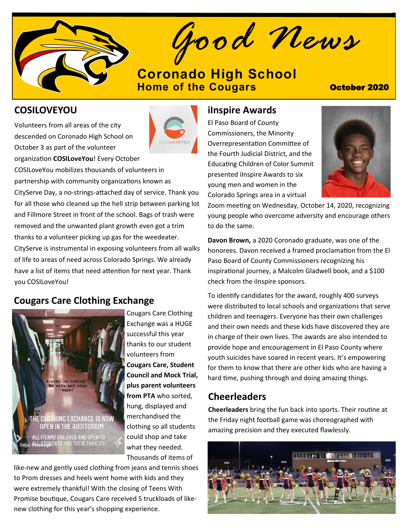

*Good News*

# **[Coronado High School](https://www.d11.org/Coronado) [Home of the Cougars](https://www.d11.org/Coronado) Constant Constant October 2020**

## **COSILOVEYOU**

Volunteers from all areas of the city descended on Coronado High School on October 3 as part of the volunteer organization **COSILoveYou**! Every October



COSILoveYou mobilizes thousands of volunteers in partnership with community organizations known as CityServe Day, a no-strings-attached day of service. Thank you for all those who cleaned up the hell strip between parking lot and Fillmore Street in front of the school. Bags of trash were removed and the unwanted plant growth even got a trim thanks to a volunteer picking up gas for the weedeater. CityServe is instrumental in exposing volunteers from all walks of life to areas of need across Colorado Springs. We already have a list of items that need attention for next year. Thank you COSILoveYou!

# **Cougars Care Clothing Exchange**



Cougars Care Clothing Exchange was a HUGE successful this year thanks to our student volunteers from **Cougars Care, Student Council and Mock Trial, plus parent volunteers from PTA** who sorted, hung, displayed and merchandised the clothing so all students could shop and take what they needed. Thousands of items of

like-new and gently used clothing from jeans and tennis shoes to Prom dresses and heels went home with kids and they were extremely thankful! With the closing of Teens With Promise boutique, Cougars Care received 5 truckloads of likenew clothing for this year's shopping experience.

### **iInspire Awards**

El Paso Board of County Commissioners, the Minority Overrepresentation Committee of the Fourth Judicial District, and the Educating Children of Color Summit presented iInspire Awards to six young men and women in the Colorado Springs area in a virtual



Zoom meeting on Wednesday, October 14, 2020, recognizing young people who overcome adversity and encourage others to do the same.

**Davon Brown,** a 2020 Coronado graduate, was one of the honorees. Davon received a framed proclamation from the El Paso Board of County Commissioners recognizing his inspirational journey, a Malcolm Gladwell book, and a \$100 check from the iInspire sponsors.

To identify candidates for the award, roughly 400 surveys were distributed to local schools and organizations that serve children and teenagers. Everyone has their own challenges and their own needs and these kids have discovered they are in charge of their own lives. The awards are also intended to provide hope and encouragement in El Paso County where youth suicides have soared in recent years. It's empowering for them to know that there are other kids who are having a hard time, pushing through and doing amazing things.

## **Cheerleaders**

**Cheerleaders** bring the fun back into sports. Their routine at the Friday night football game was choreographed with amazing precision and they executed flawlessly.